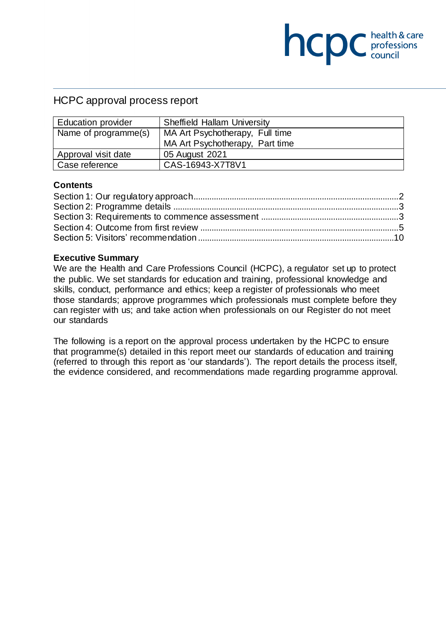## HCPC approval process report

| <b>Education provider</b> | <b>Sheffield Hallam University</b> |  |
|---------------------------|------------------------------------|--|
| Name of programme(s)      | MA Art Psychotherapy, Full time    |  |
|                           | MA Art Psychotherapy, Part time    |  |
| Approval visit date       | 05 August 2021                     |  |
| Case reference            | CAS-16943-X7T8V1                   |  |

**NCDC** chealth & care

#### **Contents**

#### **Executive Summary**

We are the Health and Care Professions Council (HCPC), a regulator set up to protect the public. We set standards for education and training, professional knowledge and skills, conduct, performance and ethics; keep a register of professionals who meet those standards; approve programmes which professionals must complete before they can register with us; and take action when professionals on our Register do not meet our standards

The following is a report on the approval process undertaken by the HCPC to ensure that programme(s) detailed in this report meet our standards of education and training (referred to through this report as 'our standards'). The report details the process itself, the evidence considered, and recommendations made regarding programme approval.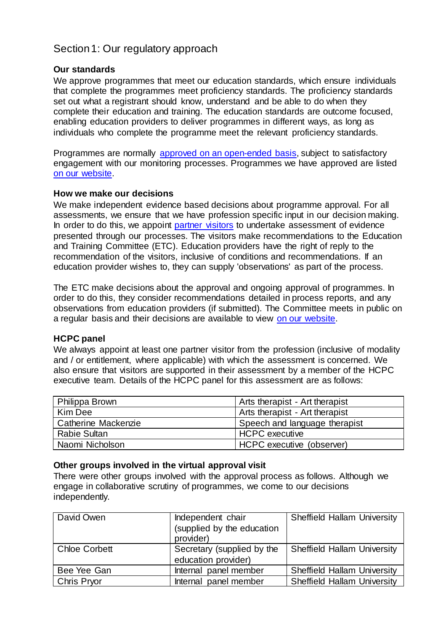# <span id="page-1-0"></span>Section 1: Our regulatory approach

#### **Our standards**

We approve programmes that meet our education standards, which ensure individuals that complete the programmes meet proficiency standards. The proficiency standards set out what a registrant should know, understand and be able to do when they complete their education and training. The education standards are outcome focused, enabling education providers to deliver programmes in different ways, as long as individuals who complete the programme meet the relevant proficiency standards.

Programmes are normally [approved on an open-ended basis,](http://www.hcpc-uk.org/education/processes/) subject to satisfactory engagement with our monitoring processes. Programmes we have approved are listed [on our website.](http://www.hcpc-uk.org/education/programmes/register/)

#### **How we make our decisions**

We make independent evidence based decisions about programme approval. For all assessments, we ensure that we have profession specific input in our decision making. In order to do this, we appoint [partner visitors](http://www.hcpc-uk.org/aboutus/partners/) to undertake assessment of evidence presented through our processes. The visitors make recommendations to the Education and Training Committee (ETC). Education providers have the right of reply to the recommendation of the visitors, inclusive of conditions and recommendations. If an education provider wishes to, they can supply 'observations' as part of the process.

The ETC make decisions about the approval and ongoing approval of programmes. In order to do this, they consider recommendations detailed in process reports, and any observations from education providers (if submitted). The Committee meets in public on a regular basis and their decisions are available to view [on our website.](http://www.hcpc-uk.org/aboutus/committees/educationandtrainingpanel/)

#### **HCPC panel**

We always appoint at least one partner visitor from the profession (inclusive of modality and / or entitlement, where applicable) with which the assessment is concerned. We also ensure that visitors are supported in their assessment by a member of the HCPC executive team. Details of the HCPC panel for this assessment are as follows:

| Philippa Brown      | Arts therapist - Art therapist |
|---------------------|--------------------------------|
| Kim Dee             | Arts therapist - Art therapist |
| Catherine Mackenzie | Speech and language therapist  |
| Rabie Sultan        | <b>HCPC</b> executive          |
| Naomi Nicholson     | HCPC executive (observer)      |

#### **Other groups involved in the virtual approval visit**

There were other groups involved with the approval process as follows. Although we engage in collaborative scrutiny of programmes, we come to our decisions independently.

| David Owen           | Independent chair          | <b>Sheffield Hallam University</b> |
|----------------------|----------------------------|------------------------------------|
|                      | (supplied by the education |                                    |
|                      | provider)                  |                                    |
| <b>Chloe Corbett</b> | Secretary (supplied by the | <b>Sheffield Hallam University</b> |
|                      | education provider)        |                                    |
| Bee Yee Gan          | Internal panel member      | <b>Sheffield Hallam University</b> |
| <b>Chris Pryor</b>   | Internal panel member      | <b>Sheffield Hallam University</b> |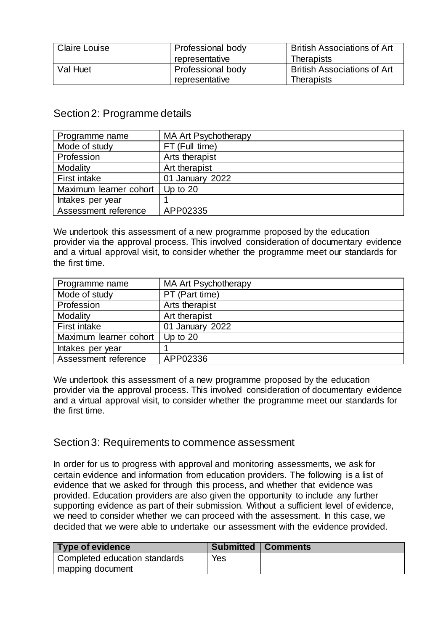| <b>Claire Louise</b> | Professional body | <b>British Associations of Art</b> |
|----------------------|-------------------|------------------------------------|
|                      | representative    | <b>Therapists</b>                  |
| Val Huet             | Professional body | <b>British Associations of Art</b> |
|                      | representative    | <b>Therapists</b>                  |

## <span id="page-2-0"></span>Section 2: Programme details

| Programme name         | <b>MA Art Psychotherapy</b> |
|------------------------|-----------------------------|
| Mode of study          | FT (Full time)              |
| Profession             | Arts therapist              |
| Modality               | Art therapist               |
| First intake           | 01 January 2022             |
| Maximum learner cohort | Up to $20$                  |
| Intakes per year       |                             |
| Assessment reference   | APP02335                    |

We undertook this assessment of a new programme proposed by the education provider via the approval process. This involved consideration of documentary evidence and a virtual approval visit, to consider whether the programme meet our standards for the first time.

| Programme name         | <b>MA Art Psychotherapy</b> |
|------------------------|-----------------------------|
| Mode of study          | PT (Part time)              |
| Profession             | Arts therapist              |
| Modality               | Art therapist               |
| First intake           | 01 January 2022             |
| Maximum learner cohort | Up to $20$                  |
| Intakes per year       |                             |
| Assessment reference   | APP02336                    |

We undertook this assessment of a new programme proposed by the education provider via the approval process. This involved consideration of documentary evidence and a virtual approval visit, to consider whether the programme meet our standards for the first time.

### <span id="page-2-1"></span>Section 3: Requirements to commence assessment

In order for us to progress with approval and monitoring assessments, we ask for certain evidence and information from education providers. The following is a list of evidence that we asked for through this process, and whether that evidence was provided. Education providers are also given the opportunity to include any further supporting evidence as part of their submission. Without a sufficient level of evidence, we need to consider whether we can proceed with the assessment. In this case, we decided that we were able to undertake our assessment with the evidence provided.

| Type of evidence              |            | <b>Submitted   Comments</b> |
|-------------------------------|------------|-----------------------------|
| Completed education standards | <b>Yes</b> |                             |
| mapping document              |            |                             |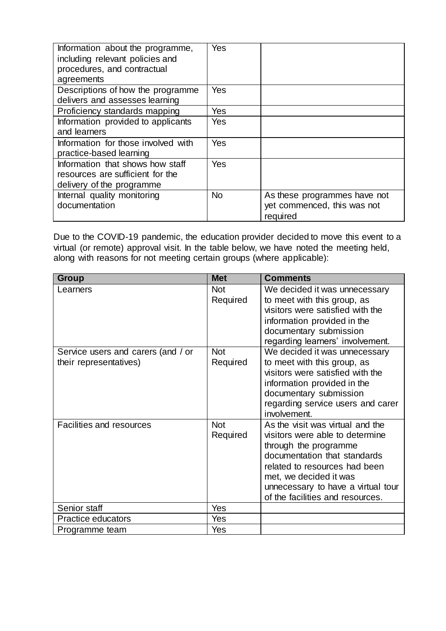| Information about the programme,<br>including relevant policies and<br>procedures, and contractual<br>agreements | Yes       |                                                                         |
|------------------------------------------------------------------------------------------------------------------|-----------|-------------------------------------------------------------------------|
| Descriptions of how the programme                                                                                | Yes       |                                                                         |
| delivers and assesses learning                                                                                   |           |                                                                         |
| Proficiency standards mapping                                                                                    | Yes       |                                                                         |
| Information provided to applicants<br>and learners                                                               | Yes       |                                                                         |
| Information for those involved with<br>practice-based learning                                                   | Yes       |                                                                         |
| Information that shows how staff<br>resources are sufficient for the<br>delivery of the programme                | Yes       |                                                                         |
| Internal quality monitoring<br>documentation                                                                     | <b>No</b> | As these programmes have not<br>yet commenced, this was not<br>required |

Due to the COVID-19 pandemic, the education provider decided to move this event to a virtual (or remote) approval visit. In the table below, we have noted the meeting held, along with reasons for not meeting certain groups (where applicable):

| <b>Group</b>                       | <b>Met</b> | <b>Comments</b>                    |
|------------------------------------|------------|------------------------------------|
| Learners                           | <b>Not</b> | We decided it was unnecessary      |
|                                    | Required   | to meet with this group, as        |
|                                    |            | visitors were satisfied with the   |
|                                    |            | information provided in the        |
|                                    |            | documentary submission             |
|                                    |            | regarding learners' involvement.   |
| Service users and carers (and / or | <b>Not</b> | We decided it was unnecessary      |
| their representatives)             | Required   | to meet with this group, as        |
|                                    |            | visitors were satisfied with the   |
|                                    |            | information provided in the        |
|                                    |            | documentary submission             |
|                                    |            | regarding service users and carer  |
|                                    |            | involvement.                       |
| Facilities and resources           | <b>Not</b> | As the visit was virtual and the   |
|                                    | Required   | visitors were able to determine    |
|                                    |            | through the programme              |
|                                    |            | documentation that standards       |
|                                    |            | related to resources had been      |
|                                    |            | met, we decided it was             |
|                                    |            | unnecessary to have a virtual tour |
|                                    |            | of the facilities and resources.   |
| Senior staff                       | Yes        |                                    |
| Practice educators                 | Yes        |                                    |
| Programme team                     | Yes        |                                    |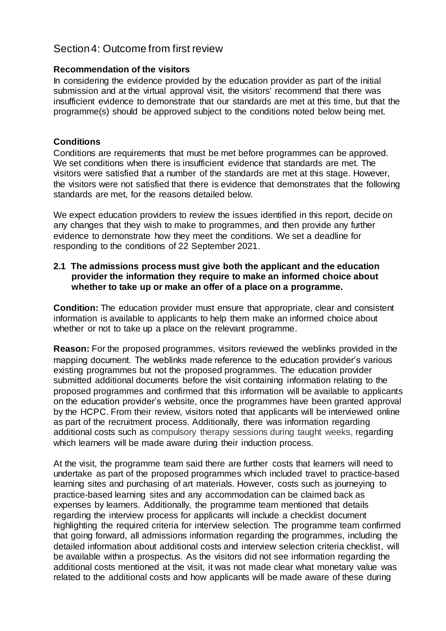# <span id="page-4-0"></span>Section 4: Outcome from first review

#### **Recommendation of the visitors**

In considering the evidence provided by the education provider as part of the initial submission and at the virtual approval visit, the visitors' recommend that there was insufficient evidence to demonstrate that our standards are met at this time, but that the programme(s) should be approved subject to the conditions noted below being met.

### **Conditions**

Conditions are requirements that must be met before programmes can be approved. We set conditions when there is insufficient evidence that standards are met. The visitors were satisfied that a number of the standards are met at this stage. However, the visitors were not satisfied that there is evidence that demonstrates that the following standards are met, for the reasons detailed below.

We expect education providers to review the issues identified in this report, decide on any changes that they wish to make to programmes, and then provide any further evidence to demonstrate how they meet the conditions. We set a deadline for responding to the conditions of 22 September 2021.

### **2.1 The admissions process must give both the applicant and the education provider the information they require to make an informed choice about whether to take up or make an offer of a place on a programme.**

**Condition:** The education provider must ensure that appropriate, clear and consistent information is available to applicants to help them make an informed choice about whether or not to take up a place on the relevant programme.

**Reason:** For the proposed programmes, visitors reviewed the weblinks provided in the mapping document. The weblinks made reference to the education provider's various existing programmes but not the proposed programmes. The education provider submitted additional documents before the visit containing information relating to the proposed programmes and confirmed that this information will be available to applicants on the education provider's website, once the programmes have been granted approval by the HCPC. From their review, visitors noted that applicants will be interviewed online as part of the recruitment process. Additionally, there was information regarding additional costs such as compulsory therapy sessions during taught weeks, regarding which learners will be made aware during their induction process.

At the visit, the programme team said there are further costs that learners will need to undertake as part of the proposed programmes which included travel to practice-based learning sites and purchasing of art materials. However, costs such as journeying to practice-based learning sites and any accommodation can be claimed back as expenses by learners. Additionally, the programme team mentioned that details regarding the interview process for applicants will include a checklist document highlighting the required criteria for interview selection. The programme team confirmed that going forward, all admissions information regarding the programmes, including the detailed information about additional costs and interview selection criteria checklist, will be available within a prospectus. As the visitors did not see information regarding the additional costs mentioned at the visit, it was not made clear what monetary value was related to the additional costs and how applicants will be made aware of these during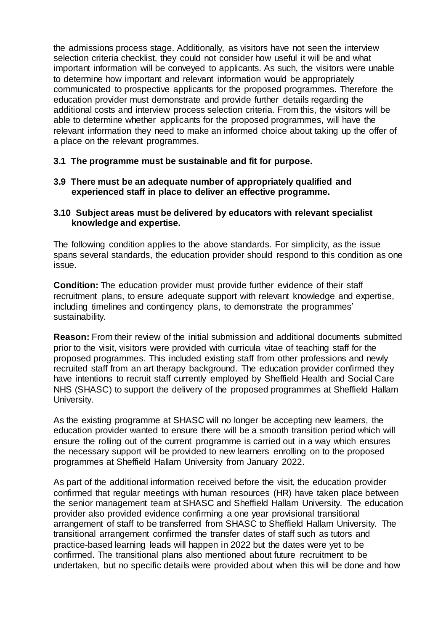the admissions process stage. Additionally, as visitors have not seen the interview selection criteria checklist, they could not consider how useful it will be and what important information will be conveyed to applicants. As such, the visitors were unable to determine how important and relevant information would be appropriately communicated to prospective applicants for the proposed programmes. Therefore the education provider must demonstrate and provide further details regarding the additional costs and interview process selection criteria. From this, the visitors will be able to determine whether applicants for the proposed programmes, will have the relevant information they need to make an informed choice about taking up the offer of a place on the relevant programmes.

### **3.1 The programme must be sustainable and fit for purpose.**

**3.9 There must be an adequate number of appropriately qualified and experienced staff in place to deliver an effective programme.**

### **3.10 Subject areas must be delivered by educators with relevant specialist knowledge and expertise.**

The following condition applies to the above standards. For simplicity, as the issue spans several standards, the education provider should respond to this condition as one issue.

**Condition:** The education provider must provide further evidence of their staff recruitment plans, to ensure adequate support with relevant knowledge and expertise, including timelines and contingency plans, to demonstrate the programmes' sustainability.

**Reason:** From their review of the initial submission and additional documents submitted prior to the visit, visitors were provided with curricula vitae of teaching staff for the proposed programmes. This included existing staff from other professions and newly recruited staff from an art therapy background. The education provider confirmed they have intentions to recruit staff currently employed by Sheffield Health and Social Care NHS (SHASC) to support the delivery of the proposed programmes at Sheffield Hallam University.

As the existing programme at SHASC will no longer be accepting new learners, the education provider wanted to ensure there will be a smooth transition period which will ensure the rolling out of the current programme is carried out in a way which ensures the necessary support will be provided to new learners enrolling on to the proposed programmes at Sheffield Hallam University from January 2022.

As part of the additional information received before the visit, the education provider confirmed that regular meetings with human resources (HR) have taken place between the senior management team at SHASC and Sheffield Hallam University. The education provider also provided evidence confirming a one year provisional transitional arrangement of staff to be transferred from SHASC to Sheffield Hallam University. The transitional arrangement confirmed the transfer dates of staff such as tutors and practice-based learning leads will happen in 2022 but the dates were yet to be confirmed. The transitional plans also mentioned about future recruitment to be undertaken, but no specific details were provided about when this will be done and how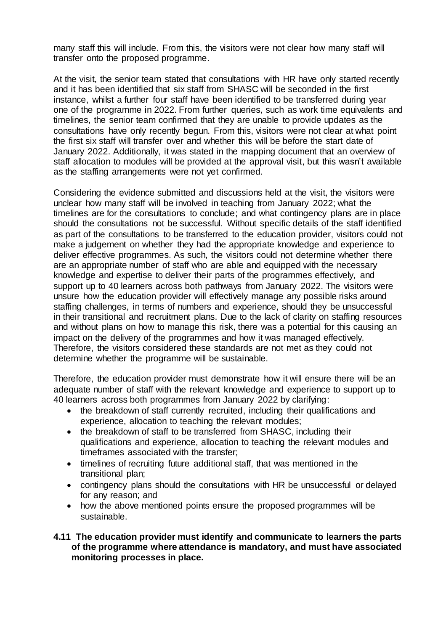many staff this will include. From this, the visitors were not clear how many staff will transfer onto the proposed programme.

At the visit, the senior team stated that consultations with HR have only started recently and it has been identified that six staff from SHASC will be seconded in the first instance, whilst a further four staff have been identified to be transferred during year one of the programme in 2022. From further queries, such as work time equivalents and timelines, the senior team confirmed that they are unable to provide updates as the consultations have only recently begun. From this, visitors were not clear at what point the first six staff will transfer over and whether this will be before the start date of January 2022. Additionally, it was stated in the mapping document that an overview of staff allocation to modules will be provided at the approval visit, but this wasn't available as the staffing arrangements were not yet confirmed.

Considering the evidence submitted and discussions held at the visit, the visitors were unclear how many staff will be involved in teaching from January 2022; what the timelines are for the consultations to conclude; and what contingency plans are in place should the consultations not be successful. Without specific details of the staff identified as part of the consultations to be transferred to the education provider, visitors could not make a judgement on whether they had the appropriate knowledge and experience to deliver effective programmes. As such, the visitors could not determine whether there are an appropriate number of staff who are able and equipped with the necessary knowledge and expertise to deliver their parts of the programmes effectively, and support up to 40 learners across both pathways from January 2022. The visitors were unsure how the education provider will effectively manage any possible risks around staffing challenges, in terms of numbers and experience, should they be unsuccessful in their transitional and recruitment plans. Due to the lack of clarity on staffing resources and without plans on how to manage this risk, there was a potential for this causing an impact on the delivery of the programmes and how it was managed effectively. Therefore, the visitors considered these standards are not met as they could not determine whether the programme will be sustainable.

Therefore, the education provider must demonstrate how it will ensure there will be an adequate number of staff with the relevant knowledge and experience to support up to 40 learners across both programmes from January 2022 by clarifying:

- the breakdown of staff currently recruited, including their qualifications and experience, allocation to teaching the relevant modules;
- the breakdown of staff to be transferred from SHASC, including their qualifications and experience, allocation to teaching the relevant modules and timeframes associated with the transfer;
- timelines of recruiting future additional staff, that was mentioned in the transitional plan;
- contingency plans should the consultations with HR be unsuccessful or delayed for any reason; and
- how the above mentioned points ensure the proposed programmes will be sustainable.

### **4.11 The education provider must identify and communicate to learners the parts of the programme where attendance is mandatory, and must have associated monitoring processes in place.**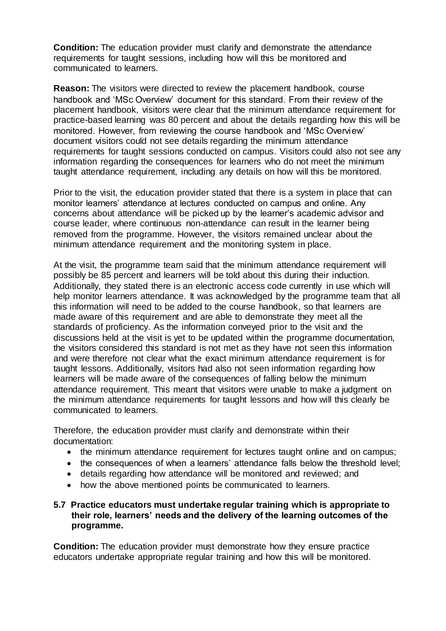**Condition:** The education provider must clarify and demonstrate the attendance requirements for taught sessions, including how will this be monitored and communicated to learners.

**Reason:** The visitors were directed to review the placement handbook, course handbook and 'MSc Overview' document for this standard. From their review of the placement handbook, visitors were clear that the minimum attendance requirement for practice-based learning was 80 percent and about the details regarding how this will be monitored. However, from reviewing the course handbook and 'MSc Overview' document visitors could not see details regarding the minimum attendance requirements for taught sessions conducted on campus. Visitors could also not see any information regarding the consequences for learners who do not meet the minimum taught attendance requirement, including any details on how will this be monitored.

Prior to the visit, the education provider stated that there is a system in place that can monitor learners' attendance at lectures conducted on campus and online. Any concerns about attendance will be picked up by the learner's academic advisor and course leader, where continuous non-attendance can result in the learner being removed from the programme. However, the visitors remained unclear about the minimum attendance requirement and the monitoring system in place.

At the visit, the programme team said that the minimum attendance requirement will possibly be 85 percent and learners will be told about this during their induction. Additionally, they stated there is an electronic access code currently in use which will help monitor learners attendance. It was acknowledged by the programme team that all this information will need to be added to the course handbook, so that learners are made aware of this requirement and are able to demonstrate they meet all the standards of proficiency. As the information conveyed prior to the visit and the discussions held at the visit is yet to be updated within the programme documentation, the visitors considered this standard is not met as they have not seen this information and were therefore not clear what the exact minimum attendance requirement is for taught lessons. Additionally, visitors had also not seen information regarding how learners will be made aware of the consequences of falling below the minimum attendance requirement. This meant that visitors were unable to make a judgment on the minimum attendance requirements for taught lessons and how will this clearly be communicated to learners.

Therefore, the education provider must clarify and demonstrate within their documentation:

- the minimum attendance requirement for lectures taught online and on campus;
- the consequences of when a learners' attendance falls below the threshold level;
- details regarding how attendance will be monitored and reviewed; and
- how the above mentioned points be communicated to learners.

#### **5.7 Practice educators must undertake regular training which is appropriate to their role, learners' needs and the delivery of the learning outcomes of the programme.**

**Condition:** The education provider must demonstrate how they ensure practice educators undertake appropriate regular training and how this will be monitored.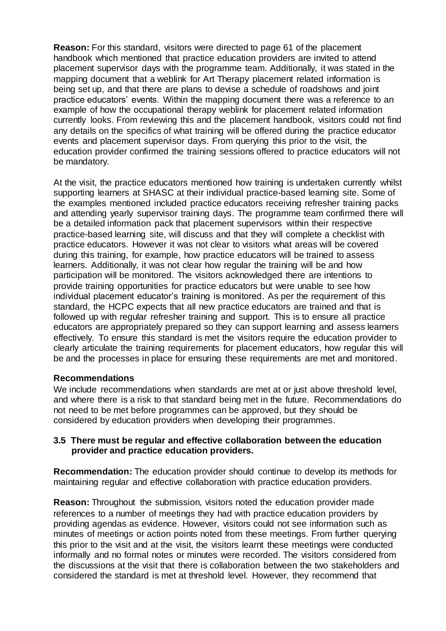**Reason:** For this standard, visitors were directed to page 61 of the placement handbook which mentioned that practice education providers are invited to attend placement supervisor days with the programme team. Additionally, it was stated in the mapping document that a weblink for Art Therapy placement related information is being set up, and that there are plans to devise a schedule of roadshows and joint practice educators' events. Within the mapping document there was a reference to an example of how the occupational therapy weblink for placement related information currently looks. From reviewing this and the placement handbook, visitors could not find any details on the specifics of what training will be offered during the practice educator events and placement supervisor days. From querying this prior to the visit, the education provider confirmed the training sessions offered to practice educators will not be mandatory.

At the visit, the practice educators mentioned how training is undertaken currently whilst supporting learners at SHASC at their individual practice-based learning site. Some of the examples mentioned included practice educators receiving refresher training packs and attending yearly supervisor training days. The programme team confirmed there will be a detailed information pack that placement supervisors within their respective practice-based learning site, will discuss and that they will complete a checklist with practice educators. However it was not clear to visitors what areas will be covered during this training, for example, how practice educators will be trained to assess learners. Additionally, it was not clear how regular the training will be and how participation will be monitored. The visitors acknowledged there are intentions to provide training opportunities for practice educators but were unable to see how individual placement educator's training is monitored. As per the requirement of this standard, the HCPC expects that all new practice educators are trained and that is followed up with regular refresher training and support. This is to ensure all practice educators are appropriately prepared so they can support learning and assess learners effectively. To ensure this standard is met the visitors require the education provider to clearly articulate the training requirements for placement educators, how regular this will be and the processes in place for ensuring these requirements are met and monitored.

### **Recommendations**

We include recommendations when standards are met at or just above threshold level, and where there is a risk to that standard being met in the future. Recommendations do not need to be met before programmes can be approved, but they should be considered by education providers when developing their programmes.

### **3.5 There must be regular and effective collaboration between the education provider and practice education providers.**

**Recommendation:** The education provider should continue to develop its methods for maintaining regular and effective collaboration with practice education providers.

**Reason:** Throughout the submission, visitors noted the education provider made references to a number of meetings they had with practice education providers by providing agendas as evidence. However, visitors could not see information such as minutes of meetings or action points noted from these meetings. From further querying this prior to the visit and at the visit, the visitors learnt these meetings were conducted informally and no formal notes or minutes were recorded. The visitors considered from the discussions at the visit that there is collaboration between the two stakeholders and considered the standard is met at threshold level. However, they recommend that